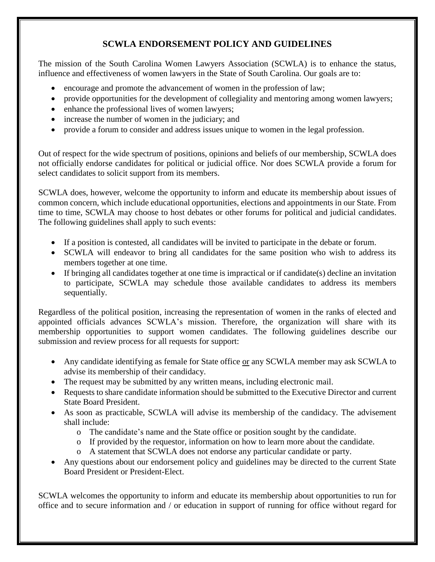## **SCWLA ENDORSEMENT POLICY AND GUIDELINES**

The mission of the South Carolina Women Lawyers Association (SCWLA) is to enhance the status, influence and effectiveness of women lawyers in the State of South Carolina. Our goals are to:

- encourage and promote the advancement of women in the profession of law;
- provide opportunities for the development of collegiality and mentoring among women lawyers;
- enhance the professional lives of women lawyers;
- increase the number of women in the judiciary; and
- provide a forum to consider and address issues unique to women in the legal profession.

Out of respect for the wide spectrum of positions, opinions and beliefs of our membership, SCWLA does not officially endorse candidates for political or judicial office. Nor does SCWLA provide a forum for select candidates to solicit support from its members.

SCWLA does, however, welcome the opportunity to inform and educate its membership about issues of common concern, which include educational opportunities, elections and appointments in our State. From time to time, SCWLA may choose to host debates or other forums for political and judicial candidates. The following guidelines shall apply to such events:

- If a position is contested, all candidates will be invited to participate in the debate or forum.
- SCWLA will endeavor to bring all candidates for the same position who wish to address its members together at one time.
- If bringing all candidates together at one time is impractical or if candidate(s) decline an invitation to participate, SCWLA may schedule those available candidates to address its members sequentially.

Regardless of the political position, increasing the representation of women in the ranks of elected and appointed officials advances SCWLA's mission. Therefore, the organization will share with its membership opportunities to support women candidates. The following guidelines describe our submission and review process for all requests for support:

- Any candidate identifying as female for State office or any SCWLA member may ask SCWLA to advise its membership of their candidacy.
- The request may be submitted by any written means, including electronic mail.
- Requests to share candidate information should be submitted to the Executive Director and current State Board President.
- As soon as practicable, SCWLA will advise its membership of the candidacy. The advisement shall include:
	- o The candidate's name and the State office or position sought by the candidate.
	- o If provided by the requestor, information on how to learn more about the candidate.
	- o A statement that SCWLA does not endorse any particular candidate or party.
- Any questions about our endorsement policy and guidelines may be directed to the current State Board President or President-Elect.

SCWLA welcomes the opportunity to inform and educate its membership about opportunities to run for office and to secure information and / or education in support of running for office without regard for